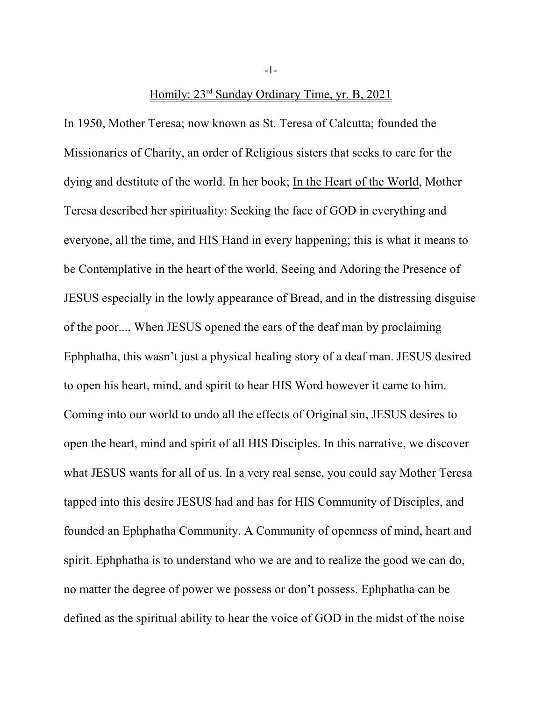Homily: 23<sup>rd</sup> Sunday Ordinary Time, yr. B, 2021

In 1950, Mother Teresa; now known as St. Teresa of Calcutta; founded the Missionaries of Charity, an order of Religious sisters that seeks to care for the dying and destitute of the world. In her book; In the Heart of the World, Mother Teresa described her spirituality: Seeking the face of GOD in everything and everyone, all the time, and HIS Hand in every happening; this is what it means to be Contemplative in the heart of the world. Seeing and Adoring the Presence of JESUS especially in the lowly appearance of Bread, and in the distressing disguise of the poor.... When JESUS opened the ears of the deaf man by proclaiming Ephphatha, this wasn't just a physical healing story of a deaf man. JESUS desired to open his heart, mind, and spirit to hear HIS Word however it came to him. Coming into our world to undo all the effects of Original sin, JESUS desires to open the heart, mind and spirit of all HIS Disciples. In this narrative, we discover what JESUS wants for all of us. In a very real sense, you could say Mother Teresa tapped into this desire JESUS had and has for HIS Community of Disciples, and founded an Ephphatha Community. A Community of openness of mind, heart and spirit. Ephphatha is to understand who we are and to realize the good we can do, no matter the degree of power we possess or don't possess. Ephphatha can be defined as the spiritual ability to hear the voice of GOD in the midst of the noise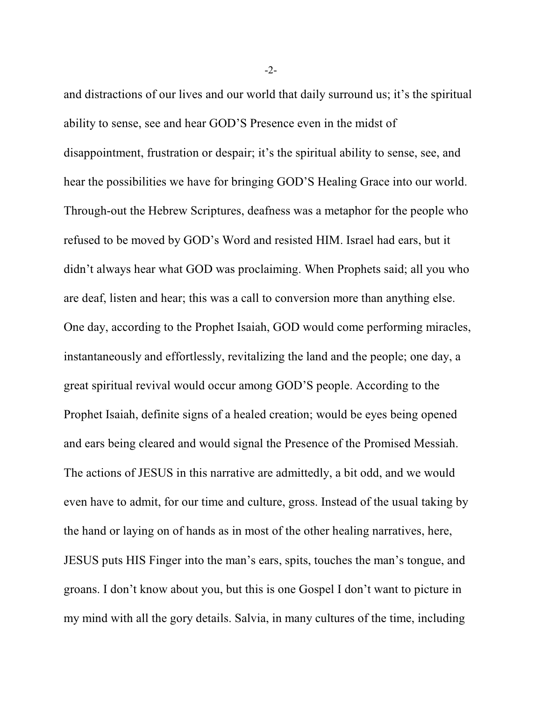and distractions of our lives and our world that daily surround us; it's the spiritual ability to sense, see and hear GOD'S Presence even in the midst of disappointment, frustration or despair; it's the spiritual ability to sense, see, and hear the possibilities we have for bringing GOD'S Healing Grace into our world. Through-out the Hebrew Scriptures, deafness was a metaphor for the people who refused to be moved by GOD's Word and resisted HIM. Israel had ears, but it didn't always hear what GOD was proclaiming. When Prophets said; all you who are deaf, listen and hear; this was a call to conversion more than anything else. One day, according to the Prophet Isaiah, GOD would come performing miracles, instantaneously and effortlessly, revitalizing the land and the people; one day, a great spiritual revival would occur among GOD'S people. According to the Prophet Isaiah, definite signs of a healed creation; would be eyes being opened and ears being cleared and would signal the Presence of the Promised Messiah. The actions of JESUS in this narrative are admittedly, a bit odd, and we would even have to admit, for our time and culture, gross. Instead of the usual taking by the hand or laying on of hands as in most of the other healing narratives, here, JESUS puts HIS Finger into the man's ears, spits, touches the man's tongue, and groans. I don't know about you, but this is one Gospel I don't want to picture in my mind with all the gory details. Salvia, in many cultures of the time, including

-2-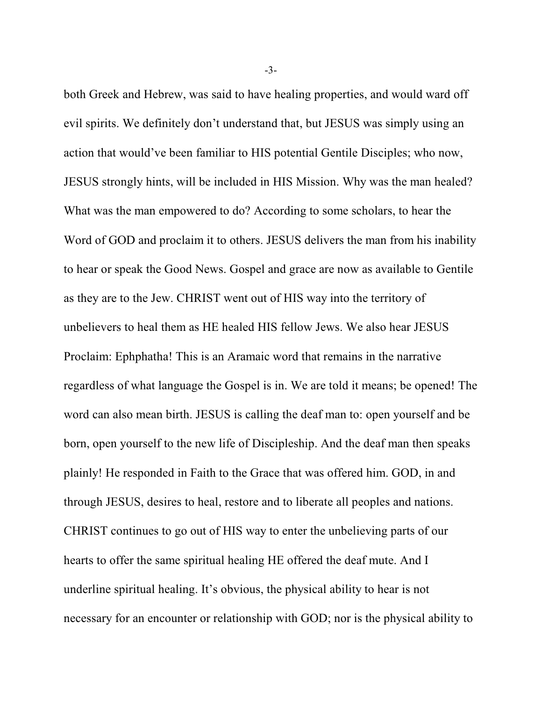both Greek and Hebrew, was said to have healing properties, and would ward off evil spirits. We definitely don't understand that, but JESUS was simply using an action that would've been familiar to HIS potential Gentile Disciples; who now, JESUS strongly hints, will be included in HIS Mission. Why was the man healed? What was the man empowered to do? According to some scholars, to hear the Word of GOD and proclaim it to others. JESUS delivers the man from his inability to hear or speak the Good News. Gospel and grace are now as available to Gentile as they are to the Jew. CHRIST went out of HIS way into the territory of unbelievers to heal them as HE healed HIS fellow Jews. We also hear JESUS Proclaim: Ephphatha! This is an Aramaic word that remains in the narrative regardless of what language the Gospel is in. We are told it means; be opened! The word can also mean birth. JESUS is calling the deaf man to: open yourself and be born, open yourself to the new life of Discipleship. And the deaf man then speaks plainly! He responded in Faith to the Grace that was offered him. GOD, in and through JESUS, desires to heal, restore and to liberate all peoples and nations. CHRIST continues to go out of HIS way to enter the unbelieving parts of our hearts to offer the same spiritual healing HE offered the deaf mute. And I underline spiritual healing. It's obvious, the physical ability to hear is not necessary for an encounter or relationship with GOD; nor is the physical ability to

-3-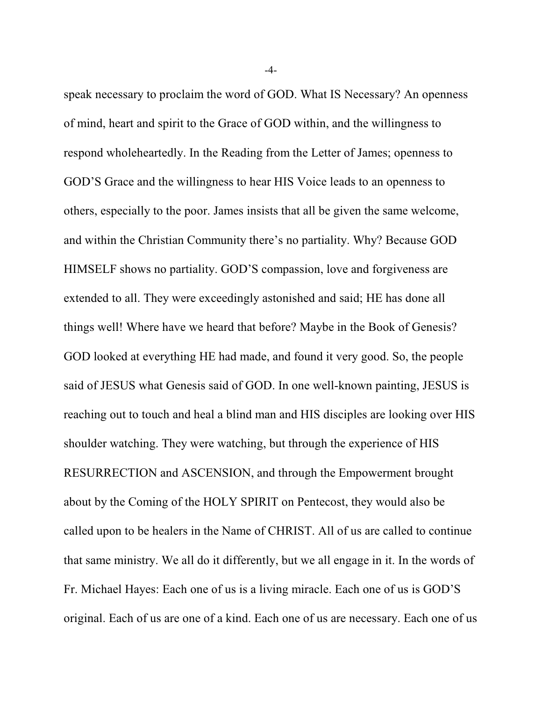speak necessary to proclaim the word of GOD. What IS Necessary? An openness of mind, heart and spirit to the Grace of GOD within, and the willingness to respond wholeheartedly. In the Reading from the Letter of James; openness to GOD'S Grace and the willingness to hear HIS Voice leads to an openness to others, especially to the poor. James insists that all be given the same welcome, and within the Christian Community there's no partiality. Why? Because GOD HIMSELF shows no partiality. GOD'S compassion, love and forgiveness are extended to all. They were exceedingly astonished and said; HE has done all things well! Where have we heard that before? Maybe in the Book of Genesis? GOD looked at everything HE had made, and found it very good. So, the people said of JESUS what Genesis said of GOD. In one well-known painting, JESUS is reaching out to touch and heal a blind man and HIS disciples are looking over HIS shoulder watching. They were watching, but through the experience of HIS RESURRECTION and ASCENSION, and through the Empowerment brought about by the Coming of the HOLY SPIRIT on Pentecost, they would also be called upon to be healers in the Name of CHRIST. All of us are called to continue that same ministry. We all do it differently, but we all engage in it. In the words of Fr. Michael Hayes: Each one of us is a living miracle. Each one of us is GOD'S original. Each of us are one of a kind. Each one of us are necessary. Each one of us

-4-